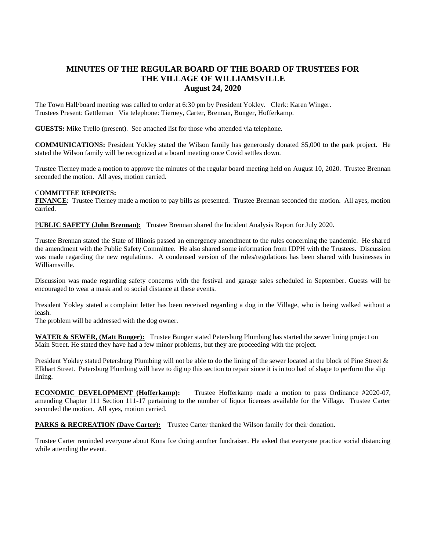## **MINUTES OF THE REGULAR BOARD OF THE BOARD OF TRUSTEES FOR THE VILLAGE OF WILLIAMSVILLE August 24, 2020**

The Town Hall/board meeting was called to order at 6:30 pm by President Yokley. Clerk: Karen Winger. Trustees Present: Gettleman Via telephone: Tierney, Carter, Brennan, Bunger, Hofferkamp.

**GUESTS:** Mike Trello (present). See attached list for those who attended via telephone.

**COMMUNICATIONS:** President Yokley stated the Wilson family has generously donated \$5,000 to the park project. He stated the Wilson family will be recognized at a board meeting once Covid settles down.

Trustee Tierney made a motion to approve the minutes of the regular board meeting held on August 10, 2020. Trustee Brennan seconded the motion. All ayes, motion carried.

## C**OMMITTEE REPORTS:**

**FINANCE**: Trustee Tierney made a motion to pay bills as presented. Trustee Brennan seconded the motion. All ayes, motion carried.

P**UBLIC SAFETY (John Brennan):** Trustee Brennan shared the Incident Analysis Report for July 2020.

Trustee Brennan stated the State of Illinois passed an emergency amendment to the rules concerning the pandemic. He shared the amendment with the Public Safety Committee. He also shared some information from IDPH with the Trustees. Discussion was made regarding the new regulations. A condensed version of the rules/regulations has been shared with businesses in Williamsville.

Discussion was made regarding safety concerns with the festival and garage sales scheduled in September. Guests will be encouraged to wear a mask and to social distance at these events.

President Yokley stated a complaint letter has been received regarding a dog in the Village, who is being walked without a leash.

The problem will be addressed with the dog owner.

**WATER & SEWER, (Matt Bunger):** Trustee Bunger stated Petersburg Plumbing has started the sewer lining project on Main Street. He stated they have had a few minor problems, but they are proceeding with the project.

President Yokley stated Petersburg Plumbing will not be able to do the lining of the sewer located at the block of Pine Street & Elkhart Street. Petersburg Plumbing will have to dig up this section to repair since it is in too bad of shape to perform the slip lining.

**ECONOMIC DEVELOPMENT (Hofferkamp):** Trustee Hofferkamp made a motion to pass Ordinance #2020-07, amending Chapter 111 Section 111-17 pertaining to the number of liquor licenses available for the Village. Trustee Carter seconded the motion. All ayes, motion carried.

**PARKS & RECREATION (Dave Carter):** Trustee Carter thanked the Wilson family for their donation.

Trustee Carter reminded everyone about Kona Ice doing another fundraiser. He asked that everyone practice social distancing while attending the event.